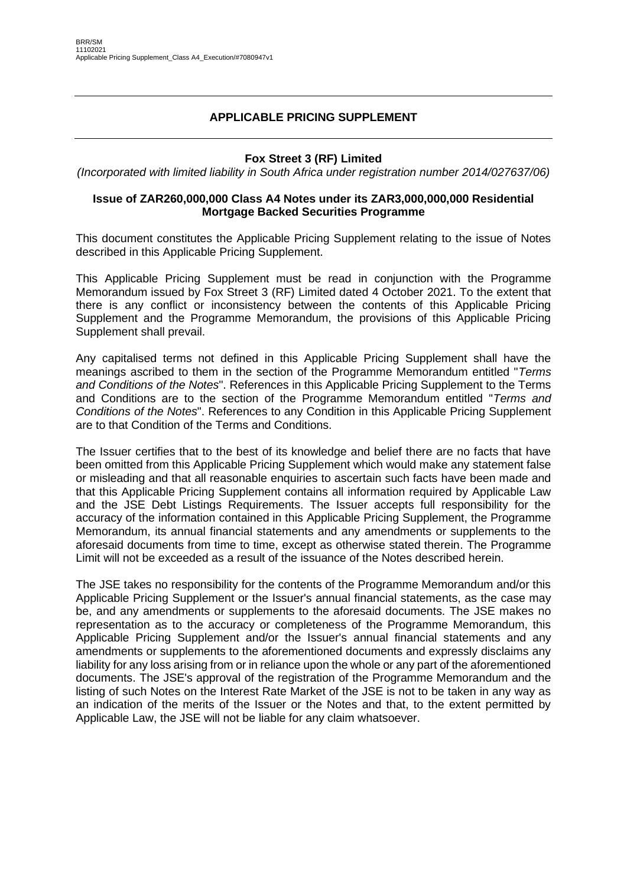### **APPLICABLE PRICING SUPPLEMENT**

### **Fox Street 3 (RF) Limited**

*(Incorporated with limited liability in South Africa under registration number 2014/027637/06)*

### **Issue of ZAR260,000,000 Class A4 Notes under its ZAR3,000,000,000 Residential Mortgage Backed Securities Programme**

This document constitutes the Applicable Pricing Supplement relating to the issue of Notes described in this Applicable Pricing Supplement.

This Applicable Pricing Supplement must be read in conjunction with the Programme Memorandum issued by Fox Street 3 (RF) Limited dated 4 October 2021. To the extent that there is any conflict or inconsistency between the contents of this Applicable Pricing Supplement and the Programme Memorandum, the provisions of this Applicable Pricing Supplement shall prevail.

Any capitalised terms not defined in this Applicable Pricing Supplement shall have the meanings ascribed to them in the section of the Programme Memorandum entitled "*Terms and Conditions of the Notes*". References in this Applicable Pricing Supplement to the Terms and Conditions are to the section of the Programme Memorandum entitled "*Terms and Conditions of the Notes*". References to any Condition in this Applicable Pricing Supplement are to that Condition of the Terms and Conditions.

The Issuer certifies that to the best of its knowledge and belief there are no facts that have been omitted from this Applicable Pricing Supplement which would make any statement false or misleading and that all reasonable enquiries to ascertain such facts have been made and that this Applicable Pricing Supplement contains all information required by Applicable Law and the JSE Debt Listings Requirements. The Issuer accepts full responsibility for the accuracy of the information contained in this Applicable Pricing Supplement, the Programme Memorandum, its annual financial statements and any amendments or supplements to the aforesaid documents from time to time, except as otherwise stated therein. The Programme Limit will not be exceeded as a result of the issuance of the Notes described herein.

The JSE takes no responsibility for the contents of the Programme Memorandum and/or this Applicable Pricing Supplement or the Issuer's annual financial statements, as the case may be, and any amendments or supplements to the aforesaid documents. The JSE makes no representation as to the accuracy or completeness of the Programme Memorandum, this Applicable Pricing Supplement and/or the Issuer's annual financial statements and any amendments or supplements to the aforementioned documents and expressly disclaims any liability for any loss arising from or in reliance upon the whole or any part of the aforementioned documents. The JSE's approval of the registration of the Programme Memorandum and the listing of such Notes on the Interest Rate Market of the JSE is not to be taken in any way as an indication of the merits of the Issuer or the Notes and that, to the extent permitted by Applicable Law, the JSE will not be liable for any claim whatsoever.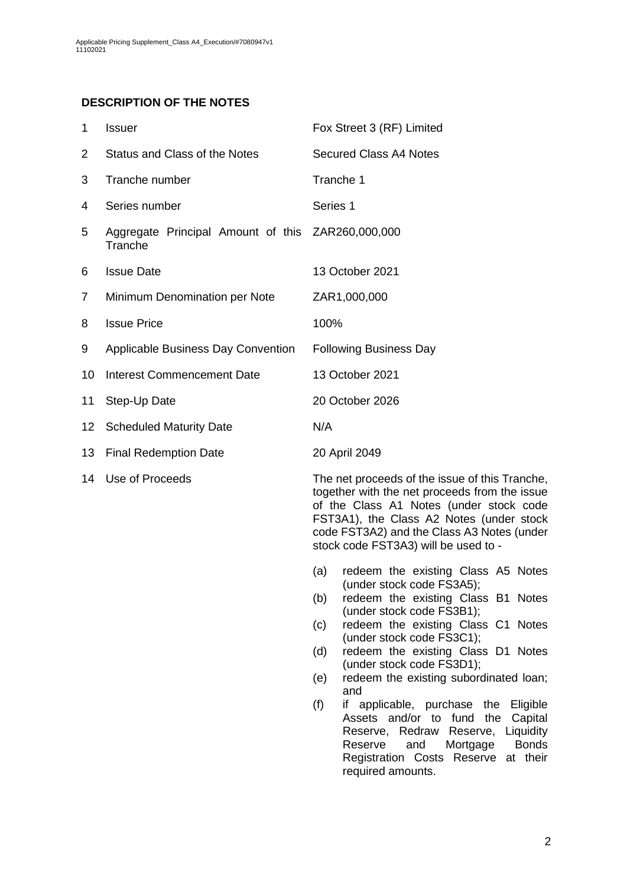## **DESCRIPTION OF THE NOTES**

<span id="page-1-0"></span>

| 1              | Issuer                                                       | Fox Street 3 (RF) Limited                                |  |
|----------------|--------------------------------------------------------------|----------------------------------------------------------|--|
| 2              | Status and Class of the Notes                                | <b>Secured Class A4 Notes</b>                            |  |
| 3              | Tranche number                                               | Tranche 1                                                |  |
| 4              | Series number                                                | Series 1                                                 |  |
| 5              | Aggregate Principal Amount of this ZAR260,000,000<br>Tranche |                                                          |  |
| 6              | <b>Issue Date</b>                                            | 13 October 2021                                          |  |
| $\overline{7}$ | Minimum Denomination per Note                                | ZAR1,000,000                                             |  |
| 8              | <b>Issue Price</b>                                           | 100%                                                     |  |
| 9              | Applicable Business Day Convention                           | <b>Following Business Day</b>                            |  |
| 10             | <b>Interest Commencement Date</b>                            | 13 October 2021                                          |  |
| 11             | Step-Up Date                                                 | 20 October 2026                                          |  |
| 12             | <b>Scheduled Maturity Date</b>                               | N/A                                                      |  |
| 13             | <b>Final Redemption Date</b>                                 | 20 April 2049                                            |  |
| 14             | Use of Proceeds                                              | The net proceeds of the is<br>together with the net proc |  |

sue of this Tranche. teeds from the issue of the Class A1 Notes (under stock code FST3A1), the Class A2 Notes (under stock code FST3A2) and the Class A3 Notes (under stock code FST3A3) will be used to -

- (a) redeem the existing Class A5 Notes (under stock code FS3A5);
- (b) redeem the existing Class B1 Notes (under stock code FS3B1);
- (c) redeem the existing Class C1 Notes (under stock code FS3C1);
- (d) redeem the existing Class D1 Notes (under stock code FS3D1):
- (e) redeem the existing subordinated loan; and
- (f) if applicable, purchase the Eligible Assets and/or to fund the Capital Reserve, Redraw Reserve, Liquidity Reserve and Mortgage Bonds Registration Costs Reserve at their required amounts.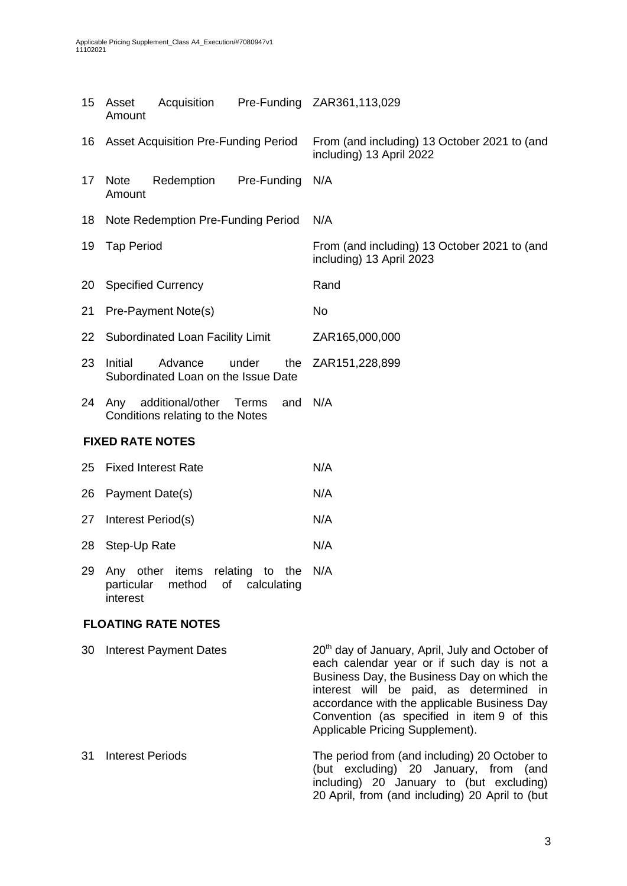| 15 | Acquisition<br>Asset<br>Amount                                                              | Pre-Funding ZAR361,113,029                                               |  |  |
|----|---------------------------------------------------------------------------------------------|--------------------------------------------------------------------------|--|--|
| 16 | <b>Asset Acquisition Pre-Funding Period</b>                                                 | From (and including) 13 October 2021 to (and<br>including) 13 April 2022 |  |  |
| 17 | Redemption<br>Pre-Funding<br><b>Note</b><br>Amount                                          | N/A                                                                      |  |  |
| 18 | Note Redemption Pre-Funding Period                                                          | N/A                                                                      |  |  |
| 19 | <b>Tap Period</b>                                                                           | From (and including) 13 October 2021 to (and<br>including) 13 April 2023 |  |  |
| 20 | <b>Specified Currency</b>                                                                   | Rand                                                                     |  |  |
| 21 | Pre-Payment Note(s)                                                                         | <b>No</b>                                                                |  |  |
| 22 | Subordinated Loan Facility Limit                                                            | ZAR165,000,000                                                           |  |  |
| 23 | Initial<br>Advance<br>under<br>the<br>Subordinated Loan on the Issue Date                   | ZAR151,228,899                                                           |  |  |
| 24 | Any<br>additional/other<br>and<br>Terms<br>Conditions relating to the Notes                 | N/A                                                                      |  |  |
|    | <b>FIXED RATE NOTES</b>                                                                     |                                                                          |  |  |
| 25 | <b>Fixed Interest Rate</b>                                                                  | N/A                                                                      |  |  |
| 26 | Payment Date(s)                                                                             | N/A                                                                      |  |  |
| 27 | Interest Period(s)                                                                          | N/A                                                                      |  |  |
| 28 | Step-Up Rate                                                                                | N/A                                                                      |  |  |
| 29 | Any other items<br>relating to the<br>particular<br>method<br>of<br>calculating<br>interest | N/A                                                                      |  |  |

## **FLOATING RATE NOTES**

| 30 | <b>Interest Payment Dates</b> | 20 <sup>th</sup> day of January, April, July and October of<br>each calendar year or if such day is not a<br>Business Day, the Business Day on which the<br>interest will be paid, as determined in<br>accordance with the applicable Business Day<br>Convention (as specified in item 9 of this<br>Applicable Pricing Supplement). |
|----|-------------------------------|-------------------------------------------------------------------------------------------------------------------------------------------------------------------------------------------------------------------------------------------------------------------------------------------------------------------------------------|
| 31 | Interest Periods              | The period from (and including) 20 October to<br>(but excluding) 20 January, from (and<br>including) 20 January to (but excluding)<br>20 April, from (and including) 20 April to (but                                                                                                                                               |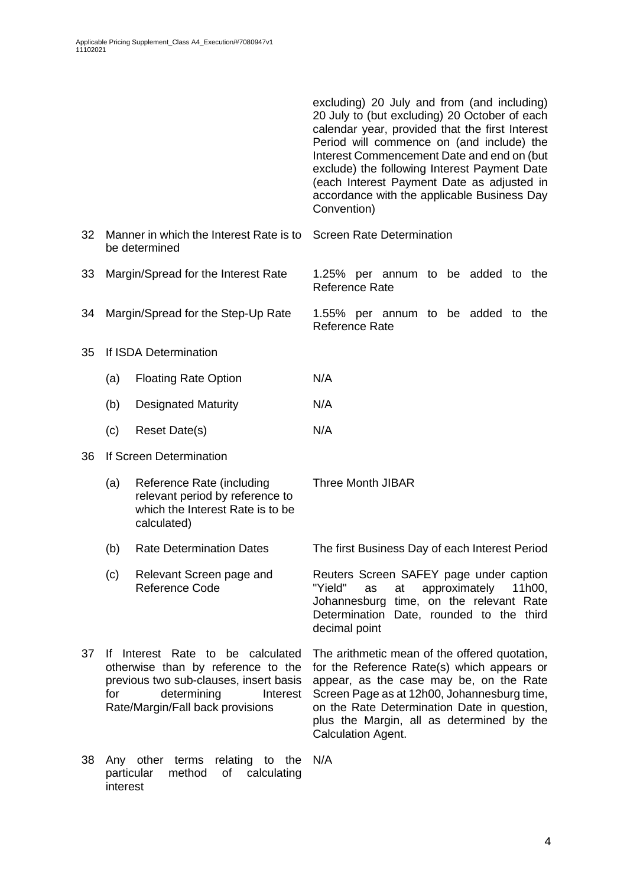|    |                        |                                                                                                                                                                                  | excluding) 20 July and from (and including)<br>20 July to (but excluding) 20 October of each<br>calendar year, provided that the first Interest<br>Period will commence on (and include) the<br>Interest Commencement Date and end on (but<br>exclude) the following Interest Payment Date<br>(each Interest Payment Date as adjusted in<br>accordance with the applicable Business Day<br>Convention) |  |  |  |  |  |
|----|------------------------|----------------------------------------------------------------------------------------------------------------------------------------------------------------------------------|--------------------------------------------------------------------------------------------------------------------------------------------------------------------------------------------------------------------------------------------------------------------------------------------------------------------------------------------------------------------------------------------------------|--|--|--|--|--|
| 32 |                        | Manner in which the Interest Rate is to<br>be determined                                                                                                                         | <b>Screen Rate Determination</b>                                                                                                                                                                                                                                                                                                                                                                       |  |  |  |  |  |
| 33 |                        | Margin/Spread for the Interest Rate                                                                                                                                              | 1.25% per annum to be added to the<br>Reference Rate                                                                                                                                                                                                                                                                                                                                                   |  |  |  |  |  |
| 34 |                        | Margin/Spread for the Step-Up Rate                                                                                                                                               | 1.55% per annum to be added to the<br><b>Reference Rate</b>                                                                                                                                                                                                                                                                                                                                            |  |  |  |  |  |
| 35 |                        | If ISDA Determination                                                                                                                                                            |                                                                                                                                                                                                                                                                                                                                                                                                        |  |  |  |  |  |
|    | (a)                    | <b>Floating Rate Option</b>                                                                                                                                                      | N/A                                                                                                                                                                                                                                                                                                                                                                                                    |  |  |  |  |  |
|    | (b)                    | <b>Designated Maturity</b>                                                                                                                                                       | N/A                                                                                                                                                                                                                                                                                                                                                                                                    |  |  |  |  |  |
|    | (c)                    | Reset Date(s)                                                                                                                                                                    | N/A                                                                                                                                                                                                                                                                                                                                                                                                    |  |  |  |  |  |
| 36 |                        | If Screen Determination                                                                                                                                                          |                                                                                                                                                                                                                                                                                                                                                                                                        |  |  |  |  |  |
|    | (a)                    | Reference Rate (including<br>relevant period by reference to<br>which the Interest Rate is to be<br>calculated)                                                                  | <b>Three Month JIBAR</b>                                                                                                                                                                                                                                                                                                                                                                               |  |  |  |  |  |
|    | (b)                    | <b>Rate Determination Dates</b>                                                                                                                                                  | The first Business Day of each Interest Period                                                                                                                                                                                                                                                                                                                                                         |  |  |  |  |  |
|    | (c)                    | Relevant Screen page and<br>Reference Code                                                                                                                                       | Reuters Screen SAFEY page under caption<br>"Yield"<br>at<br>approximately<br>11h00,<br>as<br>Johannesburg time, on the relevant Rate<br>Determination Date, rounded to the third<br>decimal point                                                                                                                                                                                                      |  |  |  |  |  |
| 37 | for                    | If Interest Rate to be calculated<br>otherwise than by reference to the<br>previous two sub-clauses, insert basis<br>determining<br>Interest<br>Rate/Margin/Fall back provisions | The arithmetic mean of the offered quotation,<br>for the Reference Rate(s) which appears or<br>appear, as the case may be, on the Rate<br>Screen Page as at 12h00, Johannesburg time,<br>on the Rate Determination Date in question,<br>plus the Margin, all as determined by the<br>Calculation Agent.                                                                                                |  |  |  |  |  |
| 38 | particular<br>interest | Any other terms relating to the<br>method<br>Οf<br>calculating                                                                                                                   | N/A                                                                                                                                                                                                                                                                                                                                                                                                    |  |  |  |  |  |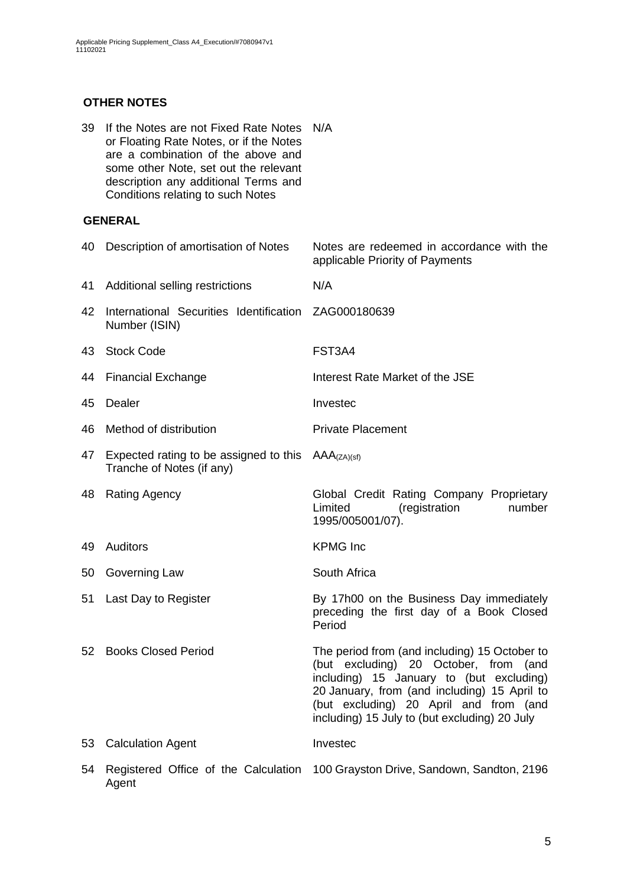## **OTHER NOTES**

| 39 | If the Notes are not Fixed Rate Notes<br>or Floating Rate Notes, or if the Notes<br>are a combination of the above and<br>some other Note, set out the relevant<br>description any additional Terms and<br>Conditions relating to such Notes | N/A                                                                                                                                                                                                                                                                           |
|----|----------------------------------------------------------------------------------------------------------------------------------------------------------------------------------------------------------------------------------------------|-------------------------------------------------------------------------------------------------------------------------------------------------------------------------------------------------------------------------------------------------------------------------------|
|    | <b>GENERAL</b>                                                                                                                                                                                                                               |                                                                                                                                                                                                                                                                               |
| 40 | Description of amortisation of Notes                                                                                                                                                                                                         | Notes are redeemed in accordance with the<br>applicable Priority of Payments                                                                                                                                                                                                  |
| 41 | Additional selling restrictions                                                                                                                                                                                                              | N/A                                                                                                                                                                                                                                                                           |
| 42 | International Securities Identification<br>Number (ISIN)                                                                                                                                                                                     | ZAG000180639                                                                                                                                                                                                                                                                  |
| 43 | <b>Stock Code</b>                                                                                                                                                                                                                            | FST3A4                                                                                                                                                                                                                                                                        |
| 44 | <b>Financial Exchange</b>                                                                                                                                                                                                                    | Interest Rate Market of the JSE                                                                                                                                                                                                                                               |
| 45 | Dealer                                                                                                                                                                                                                                       | Investec                                                                                                                                                                                                                                                                      |
| 46 | Method of distribution                                                                                                                                                                                                                       | <b>Private Placement</b>                                                                                                                                                                                                                                                      |
| 47 | Expected rating to be assigned to this<br>Tranche of Notes (if any)                                                                                                                                                                          | $AAA$ <sub>(ZA)(sf)</sub>                                                                                                                                                                                                                                                     |
| 48 | <b>Rating Agency</b>                                                                                                                                                                                                                         | Global Credit Rating Company Proprietary<br>Limited<br>(registration<br>number<br>1995/005001/07).                                                                                                                                                                            |
| 49 | Auditors                                                                                                                                                                                                                                     | <b>KPMG</b> Inc                                                                                                                                                                                                                                                               |
| 50 | Governing Law                                                                                                                                                                                                                                | South Africa                                                                                                                                                                                                                                                                  |
|    | 51 Last Day to Register                                                                                                                                                                                                                      | By 17h00 on the Business Day immediately<br>preceding the first day of a Book Closed<br>Period                                                                                                                                                                                |
| 52 | <b>Books Closed Period</b>                                                                                                                                                                                                                   | The period from (and including) 15 October to<br>(but excluding) 20 October, from (and<br>including) 15 January to (but excluding)<br>20 January, from (and including) 15 April to<br>(but excluding) 20 April and from (and<br>including) 15 July to (but excluding) 20 July |
| 53 | <b>Calculation Agent</b>                                                                                                                                                                                                                     | Investec                                                                                                                                                                                                                                                                      |
| 54 | Agent                                                                                                                                                                                                                                        | Registered Office of the Calculation 100 Grayston Drive, Sandown, Sandton, 2196                                                                                                                                                                                               |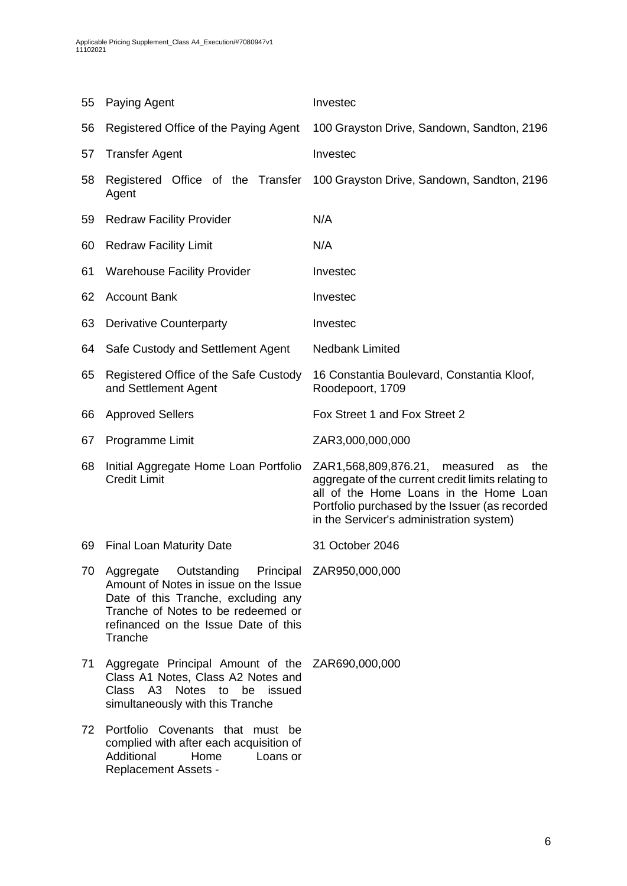| 55 | Paying Agent                                                                                                                                                                                                            | Investec                                                                                                                                                                                                                                    |  |  |
|----|-------------------------------------------------------------------------------------------------------------------------------------------------------------------------------------------------------------------------|---------------------------------------------------------------------------------------------------------------------------------------------------------------------------------------------------------------------------------------------|--|--|
| 56 | Registered Office of the Paying Agent                                                                                                                                                                                   | 100 Grayston Drive, Sandown, Sandton, 2196                                                                                                                                                                                                  |  |  |
| 57 | <b>Transfer Agent</b>                                                                                                                                                                                                   | Investec                                                                                                                                                                                                                                    |  |  |
| 58 | Registered Office of the Transfer<br>Agent                                                                                                                                                                              | 100 Grayston Drive, Sandown, Sandton, 2196                                                                                                                                                                                                  |  |  |
| 59 | <b>Redraw Facility Provider</b>                                                                                                                                                                                         | N/A                                                                                                                                                                                                                                         |  |  |
| 60 | <b>Redraw Facility Limit</b>                                                                                                                                                                                            | N/A                                                                                                                                                                                                                                         |  |  |
| 61 | <b>Warehouse Facility Provider</b>                                                                                                                                                                                      | Investec                                                                                                                                                                                                                                    |  |  |
| 62 | <b>Account Bank</b>                                                                                                                                                                                                     | Investec                                                                                                                                                                                                                                    |  |  |
| 63 | <b>Derivative Counterparty</b>                                                                                                                                                                                          | Investec                                                                                                                                                                                                                                    |  |  |
| 64 | Safe Custody and Settlement Agent                                                                                                                                                                                       | <b>Nedbank Limited</b>                                                                                                                                                                                                                      |  |  |
| 65 | Registered Office of the Safe Custody<br>and Settlement Agent                                                                                                                                                           | 16 Constantia Boulevard, Constantia Kloof,<br>Roodepoort, 1709                                                                                                                                                                              |  |  |
| 66 | <b>Approved Sellers</b>                                                                                                                                                                                                 | Fox Street 1 and Fox Street 2                                                                                                                                                                                                               |  |  |
| 67 | Programme Limit                                                                                                                                                                                                         | ZAR3,000,000,000                                                                                                                                                                                                                            |  |  |
| 68 | Initial Aggregate Home Loan Portfolio<br><b>Credit Limit</b>                                                                                                                                                            | ZAR1,568,809,876.21,<br>measured<br>the<br>as<br>aggregate of the current credit limits relating to<br>all of the Home Loans in the Home Loan<br>Portfolio purchased by the Issuer (as recorded<br>in the Servicer's administration system) |  |  |
| 69 | <b>Final Loan Maturity Date</b>                                                                                                                                                                                         | 31 October 2046                                                                                                                                                                                                                             |  |  |
| 70 | Aggregate Outstanding Principal ZAR950,000,000<br>Amount of Notes in issue on the Issue<br>Date of this Tranche, excluding any<br>Tranche of Notes to be redeemed or<br>refinanced on the Issue Date of this<br>Tranche |                                                                                                                                                                                                                                             |  |  |
| 71 | Aggregate Principal Amount of the ZAR690,000,000<br>Class A1 Notes, Class A2 Notes and<br>A3 Notes<br>Class<br>to<br>be<br>issued<br>simultaneously with this Tranche                                                   |                                                                                                                                                                                                                                             |  |  |
| 72 | Portfolio Covenants that must be<br>complied with after each acquisition of<br>Additional<br>Home<br>Loans or<br><b>Replacement Assets -</b>                                                                            |                                                                                                                                                                                                                                             |  |  |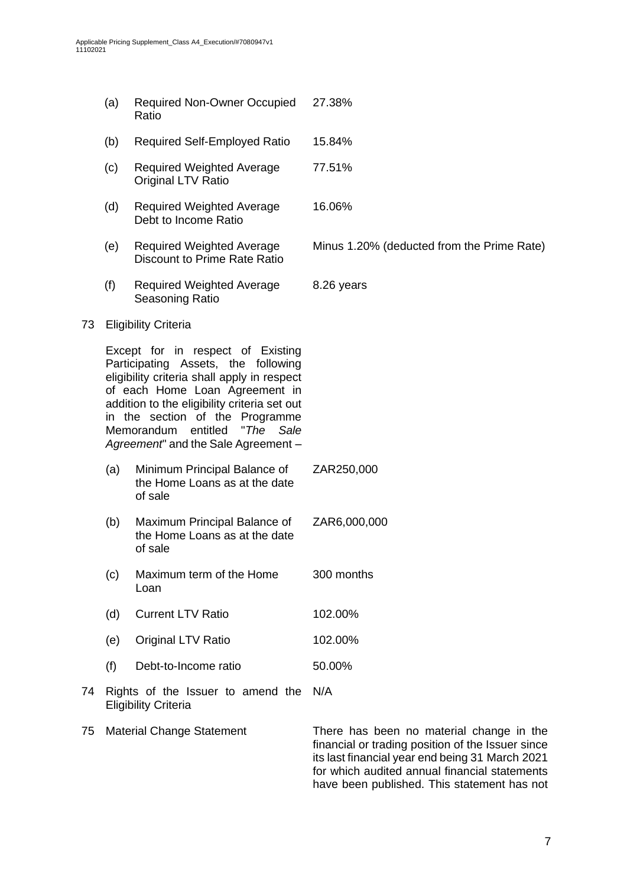- (a) Required Non-Owner Occupied Ratio 27.38% (b) Required Self-Employed Ratio 15.84% (c) Required Weighted Average Original LTV Ratio 77.51% (d) Required Weighted Average Debt to Income Ratio 16.06% (e) Required Weighted Average Discount to Prime Rate Ratio Minus 1.20% (deducted from the Prime Rate) (f) Required Weighted Average Seasoning Ratio 8.26 years 73 Eligibility Criteria Except for in respect of Existing Participating Assets, the following eligibility criteria shall apply in respect of each Home Loan Agreement in addition to the eligibility criteria set out in the section of the Programme Memorandum entitled "*The Sale Agreement*" and the Sale Agreement – (a) Minimum Principal Balance of the Home Loans as at the date of sale ZAR250,000 (b) Maximum Principal Balance of the Home Loans as at the date of sale ZAR6,000,000 (c) Maximum term of the Home Loan 300 months (d) Current LTV Ratio 102.00% (e) Original LTV Ratio 102.00%
	- (f) Debt-to-Income ratio 50.00%
- 74 Rights of the Issuer to amend the N/A Eligibility Criteria
- 75 Material Change Statement There has been no material change in the financial or trading position of the Issuer since its last financial year end being 31 March 2021 for which audited annual financial statements have been published. This statement has not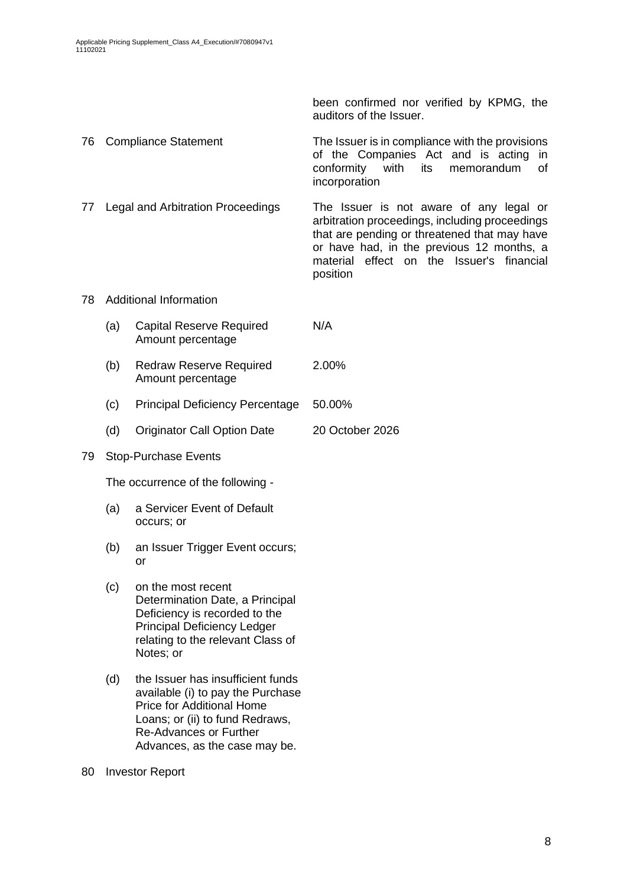been confirmed nor verified by KPMG, the auditors of the Issuer.

76 Compliance Statement The Issuer is in compliance with the provisions of the Companies Act and is acting in conformity with its memorandum of incorporation

77 Legal and Arbitration Proceedings The Issuer is not aware of any legal or arbitration proceedings, including proceedings that are pending or threatened that may have or have had, in the previous 12 months, a material effect on the Issuer's financial position

### 78 Additional Information

- (a) Capital Reserve Required Amount percentage N/A
- (b) Redraw Reserve Required Amount percentage 2.00%
- (c) Principal Deficiency Percentage 50.00%
- (d) Originator Call Option Date 20 October 2026

### 79 Stop-Purchase Events

The occurrence of the following -

- (a) a Servicer Event of Default occurs; or
- (b) an Issuer Trigger Event occurs; or
- (c) on the most recent Determination Date, a Principal Deficiency is recorded to the Principal Deficiency Ledger relating to the relevant Class of Notes; or
- (d) the Issuer has insufficient funds available (i) to pay the Purchase Price for Additional Home Loans; or (ii) to fund Redraws, Re-Advances or Further Advances, as the case may be.
- 80 Investor Report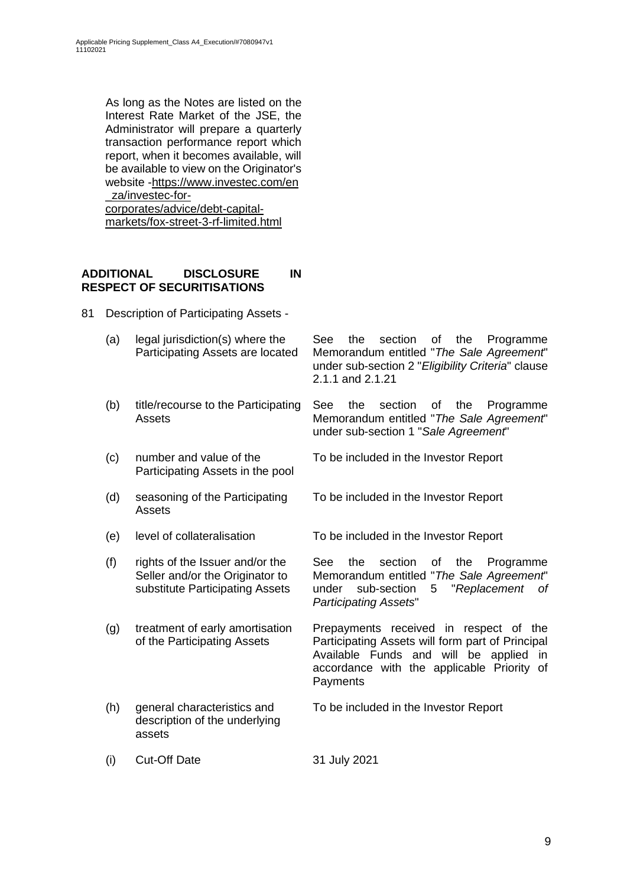As long as the Notes are listed on the Interest Rate Market of the JSE, the Administrator will prepare a quarterly transaction performance report which report, when it becomes available, will be available to view on the Originator's website -https://www.investec.com/en \_za/investec-forcorporates/advice/debt-capitalmarkets/fox-street-3-rf-limited.html

### **ADDITIONAL DISCLOSURE IN RESPECT OF SECURITISATIONS**

- 81 Description of Participating Assets
	- (a) legal jurisdiction(s) where the Participating Assets are located
	- (b) title/recourse to the Participating Assets

(c) number and value of the Participating Assets in the pool

- (d) seasoning of the Participating Assets
- 
- (f) rights of the Issuer and/or the Seller and/or the Originator to substitute Participating Assets
- (g) treatment of early amortisation of the Participating Assets
- (h) general characteristics and description of the underlying assets

(i) Cut-Off Date 31 July 2021

See the section of the Programme Memorandum entitled "*The Sale Agreement*" under sub-section 2 "*Eligibility Criteria*" clause 2.1.1 and 2.1.21

See the section of the Programme Memorandum entitled "*The Sale Agreement*" under sub-section 1 "*Sale Agreement*"

To be included in the Investor Report

To be included in the Investor Report

(e) level of collateralisation To be included in the Investor Report

See the section of the Programme Memorandum entitled "*The Sale Agreement*" under sub-section 5 "*Replacement of Participating Assets*"

Prepayments received in respect of the Participating Assets will form part of Principal Available Funds and will be applied in accordance with the applicable Priority of **Payments** 

To be included in the Investor Report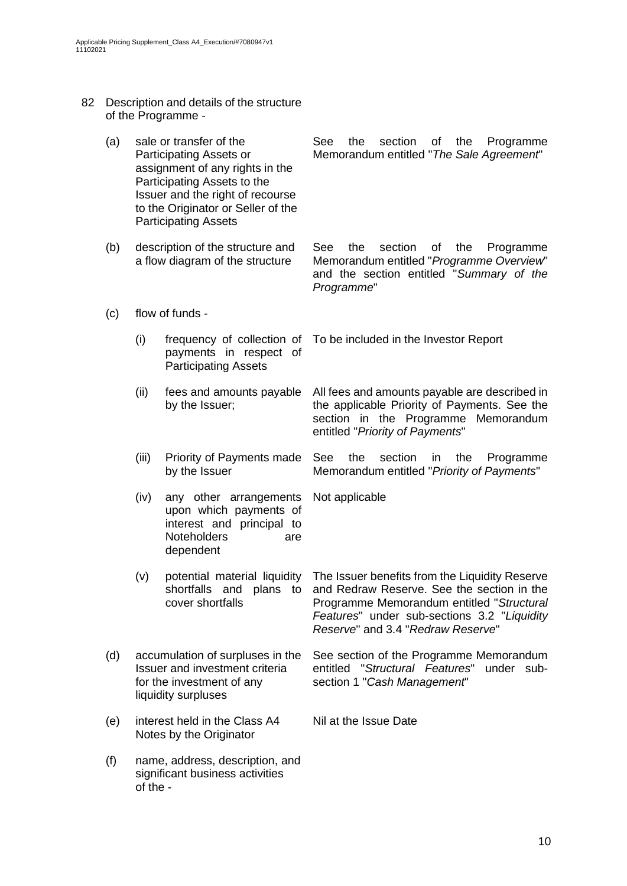- 82 Description and details of the structure of the Programme -
	- (a) sale or transfer of the Participating Assets or assignment of any rights in the Participating Assets to the Issuer and the right of recourse to the Originator or Seller of the Participating Assets See the section of the Programme Memorandum entitled "*The Sale Agreement*"
	- (b) description of the structure and a flow diagram of the structure See the section of the Programme Memorandum entitled "*Programme Overview*" and the section entitled "*Summary of the Programme*"
	- (c) flow of funds
		- (i) frequency of collection of payments in respect of Participating Assets To be included in the Investor Report
		- (ii) fees and amounts payable by the Issuer; All fees and amounts payable are described in the applicable Priority of Payments. See the section in the Programme Memorandum entitled "*Priority of Payments*"
		- (iii) Priority of Payments made by the Issuer See the section in the Programme Memorandum entitled "*Priority of Payments*"

Not applicable

- (iv) any other arrangements upon which payments of interest and principal to Noteholders are dependent
- (v) potential material liquidity shortfalls and plans to cover shortfalls The Issuer benefits from the Liquidity Reserve and Redraw Reserve. See the section in the Programme Memorandum entitled "*Structural Features*" under sub-sections 3.2 "*Liquidity Reserve*" and 3.4 "*Redraw Reserve*"
- (d) accumulation of surpluses in the Issuer and investment criteria for the investment of any liquidity surpluses See section of the Programme Memorandum entitled "*Structural Features*" under subsection 1 "*Cash Management*"

Nil at the Issue Date

- (e) interest held in the Class A4 Notes by the Originator
- (f) name, address, description, and significant business activities of the -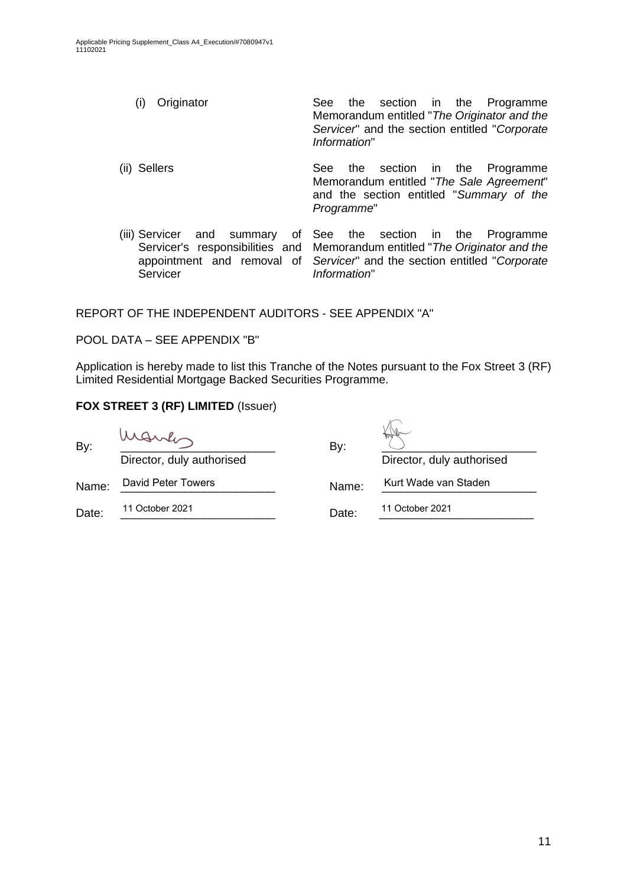- (i) Originator See the section in the Programme Memorandum entitled "*The Originator and the Servicer*" and the section entitled "*Corporate Information*"
- (ii) Sellers See the section in the Programme Memorandum entitled "*The Sale Agreement*" and the section entitled "*Summary of the Programme*"
- (iii) Servicer and summary of Servicer's responsibilities and appointment and removal of Servicer See the section in the Programme Memorandum entitled "*The Originator and the Servicer*" and the section entitled "*Corporate Information*"

REPORT OF THE INDEPENDENT AUDITORS - SEE APPENDIX "A"

POOL DATA – SEE APPENDIX "B"

Application is hereby made to list this Tranche of the Notes pursuant to the Fox Street 3 (RF) Limited Residential Mortgage Backed Securities Programme.

 $\sqrt{2}$ 

## **FOX STREET 3 (RF) LIMITED** (Issuer)

| By:   | Marles                    | By:   |                           |  |  |
|-------|---------------------------|-------|---------------------------|--|--|
|       | Director, duly authorised |       | Director, duly authorised |  |  |
| Name: | David Peter Towers        | Name: | Kurt Wade van Staden      |  |  |
| Date: | 11 October 2021           | Date: | 11 October 2021           |  |  |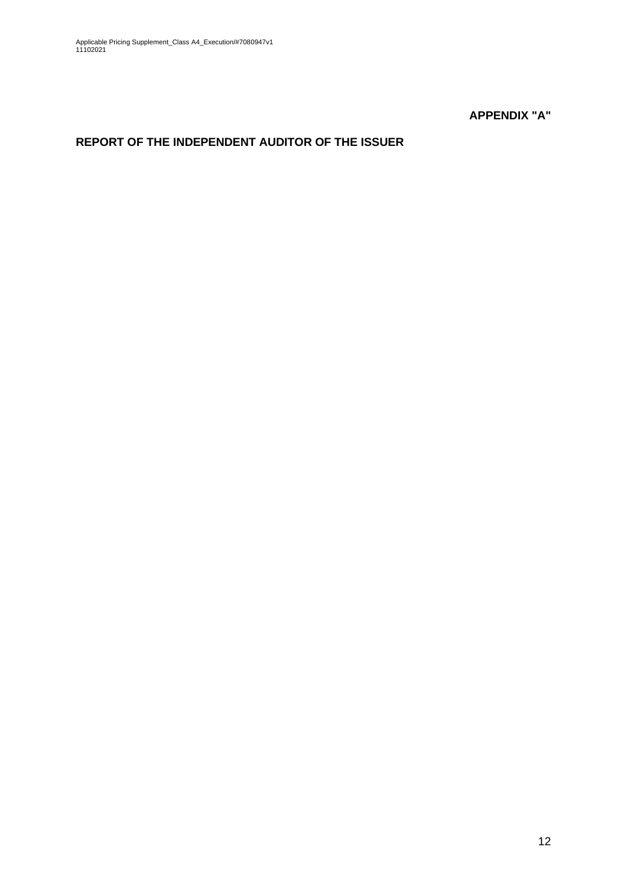**APPENDIX "A"**

# **REPORT OF THE INDEPENDENT AUDITOR OF THE ISSUER**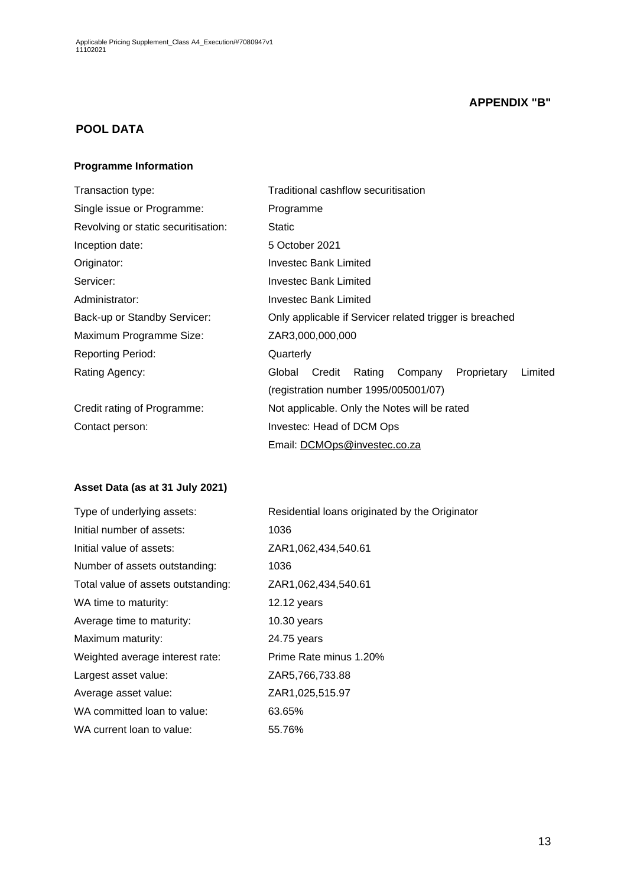## **APPENDIX "B"**

## **POOL DATA**

#### **Programme Information**

| Transaction type:                   | Traditional cashflow securitisation                             |  |  |  |  |
|-------------------------------------|-----------------------------------------------------------------|--|--|--|--|
| Single issue or Programme:          | Programme                                                       |  |  |  |  |
| Revolving or static securitisation: | <b>Static</b>                                                   |  |  |  |  |
| Inception date:                     | 5 October 2021                                                  |  |  |  |  |
| Originator:                         | Investec Bank Limited                                           |  |  |  |  |
| Servicer:                           | Investec Bank Limited                                           |  |  |  |  |
| Administrator:                      | Investec Bank Limited                                           |  |  |  |  |
| Back-up or Standby Servicer:        | Only applicable if Servicer related trigger is breached         |  |  |  |  |
| Maximum Programme Size:             | ZAR3,000,000,000                                                |  |  |  |  |
| <b>Reporting Period:</b>            | Quarterly                                                       |  |  |  |  |
| Rating Agency:                      | Limited<br>Credit<br>Rating<br>Proprietary<br>Global<br>Company |  |  |  |  |
|                                     | (registration number 1995/005001/07)                            |  |  |  |  |
| Credit rating of Programme:         | Not applicable. Only the Notes will be rated                    |  |  |  |  |
| Contact person:                     | Investec: Head of DCM Ops                                       |  |  |  |  |
|                                     | Email: DCMOps@investec.co.za                                    |  |  |  |  |

## **Asset Data (as at 31 July 2021)**

| Type of underlying assets:         | Residential loans originated by the Originator |
|------------------------------------|------------------------------------------------|
| Initial number of assets:          | 1036                                           |
| Initial value of assets:           | ZAR1,062,434,540.61                            |
| Number of assets outstanding:      | 1036                                           |
| Total value of assets outstanding: | ZAR1,062,434,540.61                            |
| WA time to maturity:               | $12.12$ years                                  |
| Average time to maturity:          | $10.30$ years                                  |
| Maximum maturity:                  | 24.75 years                                    |
| Weighted average interest rate:    | Prime Rate minus 1.20%                         |
| Largest asset value:               | ZAR5,766,733.88                                |
| Average asset value:               | ZAR1,025,515.97                                |
| WA committed loan to value:        | 63.65%                                         |
| WA current loan to value:          | 55.76%                                         |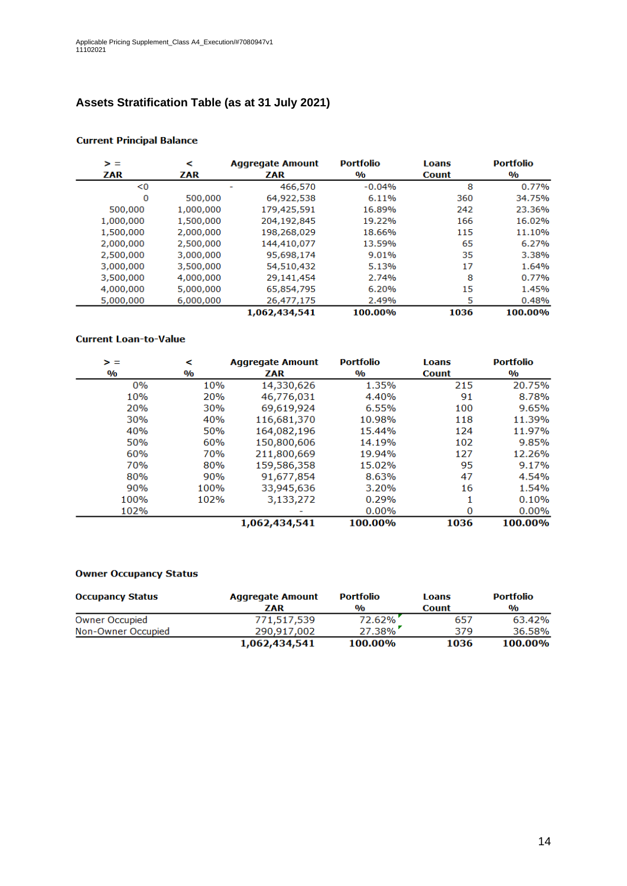# **Assets Stratification Table (as at 31 July 2021)**

| > =       | ⋖         | <b>Aggregate Amount</b> | <b>Portfolio</b>        | Loans        | <b>Portfolio</b>        |
|-----------|-----------|-------------------------|-------------------------|--------------|-------------------------|
| ZAR       | ZAR       | ZAR                     | $\mathbf{0}/\mathbf{0}$ | <b>Count</b> | $\mathbf{0}/\mathbf{0}$ |
| < 0       |           | 466,570                 | $-0.04%$                | 8            | 0.77%                   |
| 0         | 500,000   | 64,922,538              | 6.11%                   | 360          | 34.75%                  |
| 500,000   | 1,000,000 | 179,425,591             | 16.89%                  | 242          | 23.36%                  |
| 1,000,000 | 1,500,000 | 204,192,845             | 19.22%                  | 166          | 16.02%                  |
| 1,500,000 | 2,000,000 | 198,268,029             | 18.66%                  | 115          | 11.10%                  |
| 2,000,000 | 2,500,000 | 144,410,077             | 13.59%                  | 65           | 6.27%                   |
| 2,500,000 | 3,000,000 | 95,698,174              | 9.01%                   | 35           | 3.38%                   |
| 3,000,000 | 3,500,000 | 54,510,432              | 5.13%                   | 17           | 1.64%                   |
| 3,500,000 | 4,000,000 | 29,141,454              | 2.74%                   | 8            | 0.77%                   |
| 4,000,000 | 5,000,000 | 65,854,795              | 6.20%                   | 15           | 1.45%                   |
| 5,000,000 | 6,000,000 | 26,477,175              | 2.49%                   | 5            | 0.48%                   |
|           |           | 1,062,434,541           | 100.00%                 | 1036         | 100.00%                 |

#### **Current Principal Balance**

#### **Current Loan-to-Value**

| > =           | ⋖             | <b>Aggregate Amount</b> | <b>Portfolio</b> | <b>Loans</b> | <b>Portfolio</b>        |
|---------------|---------------|-------------------------|------------------|--------------|-------------------------|
| $\frac{0}{0}$ | $\frac{0}{0}$ | ZAR                     | $\frac{0}{0}$    | <b>Count</b> | $\mathbf{0}/\mathbf{0}$ |
| 0%            | 10%           | 14,330,626              | 1.35%            | 215          | 20.75%                  |
| 10%           | 20%           | 46,776,031              | 4.40%            | 91           | 8.78%                   |
| 20%           | <b>30%</b>    | 69,619,924              | 6.55%            | 100          | 9.65%                   |
| 30%           | 40%           | 116,681,370             | 10.98%           | 118          | 11.39%                  |
| 40%           | 50%           | 164,082,196             | 15.44%           | 124          | 11.97%                  |
| 50%           | 60%           | 150,800,606             | 14.19%           | 102          | 9.85%                   |
| 60%           | 70%           | 211,800,669             | 19.94%           | 127          | 12.26%                  |
| 70%           | 80%           | 159,586,358             | 15.02%           | 95           | 9.17%                   |
| 80%           | 90%           | 91,677,854              | 8.63%            | 47           | 4.54%                   |
| 90%           | 100%          | 33,945,636              | 3.20%            | 16           | 1.54%                   |
| 100%          | 102%          | 3,133,272               | 0.29%            |              | 0.10%                   |
| 102%          |               |                         | 0.00%            | 0            | 0.00%                   |
|               |               | 1,062,434,541           | 100.00%          | 1036         | 100.00%                 |

#### **Owner Occupancy Status**

| <b>Occupancy Status</b> | <b>Aggregate Amount</b> | <b>Portfolio</b> | Loans        | <b>Portfolio</b> |
|-------------------------|-------------------------|------------------|--------------|------------------|
|                         | ZAR                     | $\frac{0}{0}$    | <b>Count</b> | $\frac{0}{0}$    |
| <b>Owner Occupied</b>   | 771,517,539             | 72.62%           | 657          | 63.42%           |
| Non-Owner Occupied      | 290.917.002             | $27.38\%$        | 379          | 36.58%           |
|                         | 1,062,434,541           | 100.00%          | 1036         | 100.00%          |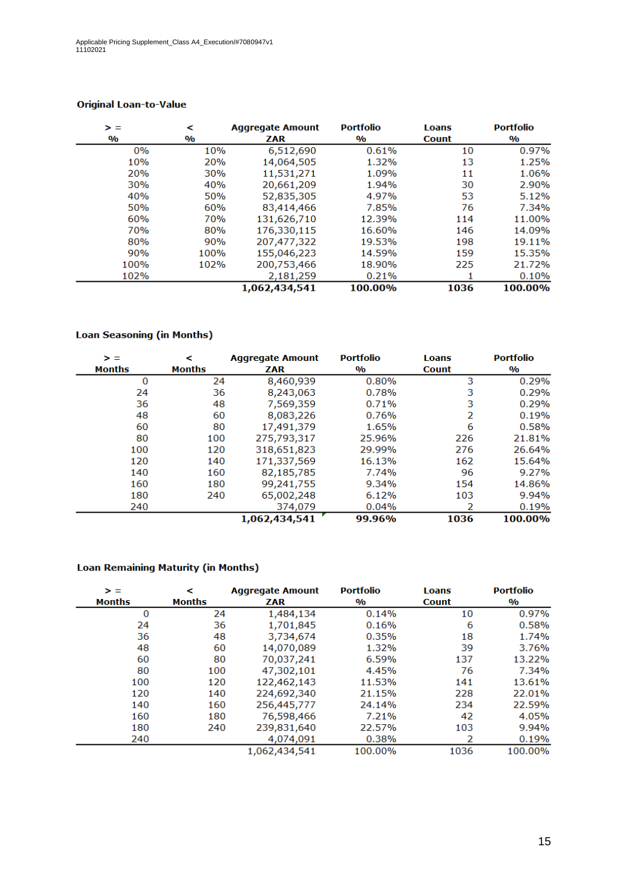| > =           | <             | <b>Aggregate Amount</b> | <b>Portfolio</b> | <b>Loans</b> | <b>Portfolio</b> |
|---------------|---------------|-------------------------|------------------|--------------|------------------|
| $\frac{0}{0}$ | $\frac{0}{0}$ | ZAR                     | $\frac{0}{0}$    | <b>Count</b> | $\frac{0}{0}$    |
| 0%            | 10%           | 6,512,690               | 0.61%            | 10           | 0.97%            |
| 10%           | 20%           | 14,064,505              | 1.32%            | 13           | 1.25%            |
| 20%           | 30%           | 11,531,271              | 1.09%            | 11           | 1.06%            |
| 30%           | 40%           | 20,661,209              | 1.94%            | 30           | 2.90%            |
| 40%           | 50%           | 52,835,305              | 4.97%            | 53           | 5.12%            |
| 50%           | 60%           | 83,414,466              | 7.85%            | 76           | 7.34%            |
| 60%           | 70%           | 131,626,710             | 12.39%           | 114          | 11.00%           |
| 70%           | 80%           | 176,330,115             | 16.60%           | 146          | 14.09%           |
| 80%           | 90%           | 207,477,322             | 19.53%           | 198          | 19.11%           |
| 90%           | 100%          | 155,046,223             | 14.59%           | 159          | 15.35%           |
| 100%          | 102%          | 200,753,466             | 18.90%           | 225          | 21.72%           |
| 102%          |               | 2,181,259               | 0.21%            |              | 0.10%            |
|               |               | 1,062,434,541           | 100.00%          | 1036         | 100.00%          |

### **Original Loan-to-Value**

### **Loan Seasoning (in Months)**

| > =<br><b>Months</b> | ≺<br><b>Months</b> | <b>Aggregate Amount</b><br>ZAR | <b>Portfolio</b><br>$\mathbf{0}/\mathbf{0}$ | <b>Loans</b><br><b>Count</b> | <b>Portfolio</b><br>$\mathbf{O}/\mathbf{O}$ |
|----------------------|--------------------|--------------------------------|---------------------------------------------|------------------------------|---------------------------------------------|
| 0                    | 24                 | 8,460,939                      | 0.80%                                       | 3                            | 0.29%                                       |
| 24                   | 36                 | 8,243,063                      | 0.78%                                       | 3                            | 0.29%                                       |
| 36                   | 48                 | 7,569,359                      | 0.71%                                       | 3                            | 0.29%                                       |
| 48                   | 60                 | 8,083,226                      | 0.76%                                       | 2                            | 0.19%                                       |
| 60                   | 80                 | 17,491,379                     | 1.65%                                       | 6                            | 0.58%                                       |
| 80                   | 100                | 275,793,317                    | 25.96%                                      | 226                          | 21.81%                                      |
| 100                  | 120                | 318,651,823                    | 29.99%                                      | 276                          | 26.64%                                      |
| 120                  | 140                | 171,337,569                    | 16.13%                                      | 162                          | 15.64%                                      |
| 140                  | 160                | 82,185,785                     | 7.74%                                       | 96                           | 9.27%                                       |
| 160                  | 180                | 99,241,755                     | 9.34%                                       | 154                          | 14.86%                                      |
| 180                  | 240                | 65,002,248                     | 6.12%                                       | 103                          | 9.94%                                       |
| 240                  |                    | 374,079                        | 0.04%                                       |                              | 0.19%                                       |
|                      |                    | 1,062,434,541                  | 99.96%                                      | 1036                         | 100.00%                                     |

#### **Loan Remaining Maturity (in Months)**

| $\geq$ $=$    | <             | <b>Aggregate Amount</b> | <b>Portfolio</b>        | <b>Loans</b> | <b>Portfolio</b> |
|---------------|---------------|-------------------------|-------------------------|--------------|------------------|
| <b>Months</b> | <b>Months</b> | ZAR                     | $\mathbf{0}/\mathbf{0}$ | <b>Count</b> | $\frac{0}{0}$    |
| 0             | 24            | 1,484,134               | 0.14%                   | 10           | 0.97%            |
| 24            | 36            | 1,701,845               | 0.16%                   | 6            | 0.58%            |
| 36            | 48            | 3,734,674               | 0.35%                   | 18           | 1.74%            |
| 48            | 60            | 14,070,089              | 1.32%                   | 39           | 3.76%            |
| 60            | 80            | 70,037,241              | 6.59%                   | 137          | 13.22%           |
| 80            | 100           | 47,302,101              | 4.45%                   | 76           | 7.34%            |
| 100           | 120           | 122,462,143             | 11.53%                  | 141          | 13.61%           |
| 120           | 140           | 224,692,340             | 21.15%                  | 228          | 22.01%           |
| 140           | 160           | 256,445,777             | 24.14%                  | 234          | 22.59%           |
| 160           | 180           | 76,598,466              | 7.21%                   | 42           | 4.05%            |
| 180           | 240           | 239,831,640             | 22.57%                  | 103          | 9.94%            |
| 240           |               | 4,074,091               | 0.38%                   | 2            | 0.19%            |
|               |               | 1,062,434,541           | 100.00%                 | 1036         | 100.00%          |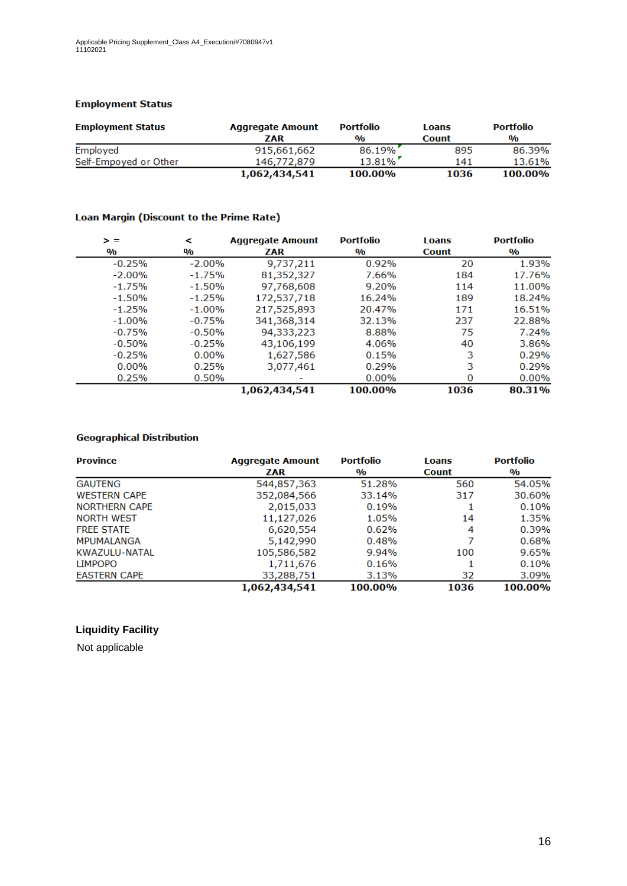#### **Employment Status**

| <b>Employment Status</b> | <b>Aggregate Amount</b> | <b>Portfolio</b> | Loans        | <b>Portfolio</b> |
|--------------------------|-------------------------|------------------|--------------|------------------|
|                          | ZAR                     | $\frac{0}{0}$    | <b>Count</b> | $\frac{0}{0}$    |
| Employed                 | 915,661,662             | 86.19%           | 895          | 86.39%           |
| Self-Empoyed or Other    | 146,772,879             | $13.81\%$        | 141          | 13.61%           |
|                          | 1,062,434,541           | 100.00%          | 1036         | 100.00%          |

#### Loan Margin (Discount to the Prime Rate)

| > =                     | ≺                       | <b>Aggregate Amount</b> | <b>Portfolio</b>        | <b>Loans</b> | <b>Portfolio</b>        |
|-------------------------|-------------------------|-------------------------|-------------------------|--------------|-------------------------|
| $\mathbf{0}/\mathbf{0}$ | $\mathbf{0}/\mathbf{0}$ | ZAR                     | $\mathbf{0}/\mathbf{0}$ | <b>Count</b> | $\mathbf{0}/\mathbf{0}$ |
| $-0.25%$                | $-2.00\%$               | 9,737,211               | 0.92%                   | 20           | 1.93%                   |
| $-2.00%$                | $-1.75%$                | 81,352,327              | 7.66%                   | 184          | 17.76%                  |
| $-1.75%$                | $-1.50%$                | 97,768,608              | 9.20%                   | 114          | 11.00%                  |
| $-1.50%$                | $-1.25%$                | 172,537,718             | 16.24%                  | 189          | 18.24%                  |
| $-1.25%$                | $-1.00%$                | 217,525,893             | 20.47%                  | 171          | 16.51%                  |
| $-1.00%$                | $-0.75%$                | 341,368,314             | 32.13%                  | 237          | 22.88%                  |
| $-0.75%$                | $-0.50%$                | 94,333,223              | 8.88%                   | 75           | 7.24%                   |
| $-0.50%$                | $-0.25%$                | 43,106,199              | 4.06%                   | 40           | 3.86%                   |
| $-0.25%$                | $0.00\%$                | 1,627,586               | 0.15%                   | 3            | 0.29%                   |
| $0.00\%$                | 0.25%                   | 3,077,461               | 0.29%                   | 3            | 0.29%                   |
| 0.25%                   | 0.50%                   |                         | $0.00\%$                | 0            | $0.00\%$                |
|                         |                         | 1,062,434,541           | 100.00%                 | 1036         | 80.31%                  |

### **Geographical Distribution**

| <b>Province</b>      | <b>Aggregate Amount</b> | <b>Portfolio</b> | Loans        | <b>Portfolio</b> |
|----------------------|-------------------------|------------------|--------------|------------------|
|                      | <b>ZAR</b>              | $\frac{0}{0}$    | <b>Count</b> | $\frac{0}{0}$    |
| <b>GAUTENG</b>       | 544,857,363             | 51.28%           | 560          | 54.05%           |
| <b>WESTERN CAPE</b>  | 352,084,566             | 33.14%           | 317          | 30.60%           |
| <b>NORTHERN CAPE</b> | 2,015,033               | 0.19%            |              | 0.10%            |
| <b>NORTH WEST</b>    | 11,127,026              | 1.05%            | 14           | 1.35%            |
| <b>FREE STATE</b>    | 6,620,554               | 0.62%            | 4            | 0.39%            |
| <b>MPUMALANGA</b>    | 5,142,990               | 0.48%            | 7            | 0.68%            |
| KWAZULU-NATAL        | 105,586,582             | 9.94%            | 100          | 9.65%            |
| <b>LIMPOPO</b>       | 1,711,676               | 0.16%            |              | 0.10%            |
| <b>EASTERN CAPE</b>  | 33,288,751              | 3.13%            | 32           | 3.09%            |
|                      | 1,062,434,541           | 100.00%          | 1036         | 100.00%          |

### **Liquidity Facility**

Not applicable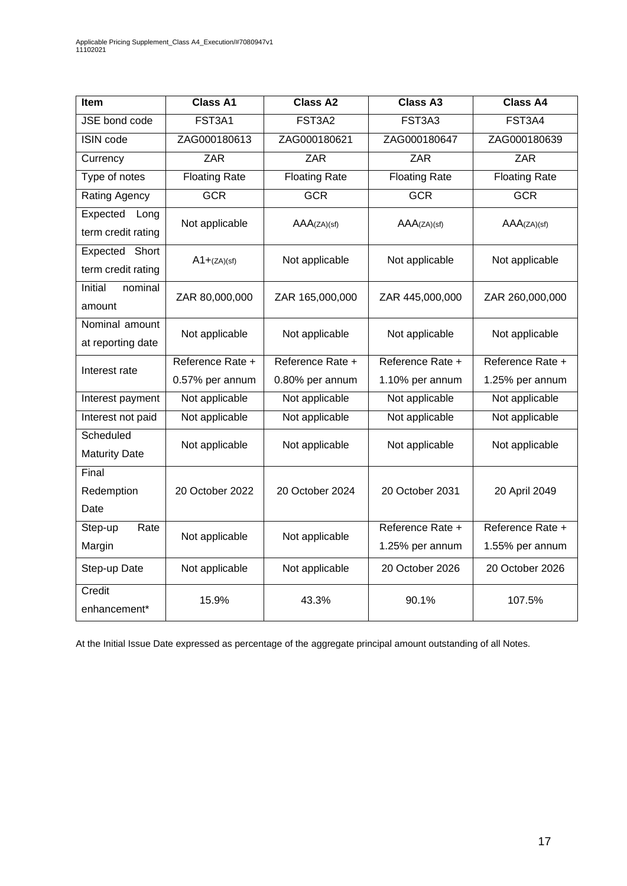| <b>Item</b>                             | <b>Class A1</b>      | <b>Class A2</b>      | <b>Class A3</b>      | <b>Class A4</b>      |
|-----------------------------------------|----------------------|----------------------|----------------------|----------------------|
| JSE bond code                           | FST3A1               | FST3A2               | FST3A3               | FST3A4               |
| <b>ISIN code</b>                        | ZAG000180613         | ZAG000180621         | ZAG000180647         | ZAG000180639         |
| Currency                                | <b>ZAR</b>           | <b>ZAR</b>           | <b>ZAR</b>           | <b>ZAR</b>           |
| Type of notes                           | <b>Floating Rate</b> | <b>Floating Rate</b> | <b>Floating Rate</b> | <b>Floating Rate</b> |
| Rating Agency                           | <b>GCR</b>           | <b>GCR</b>           | <b>GCR</b>           | <b>GCR</b>           |
| Expected<br>Long<br>term credit rating  | Not applicable       | AAA(ZA)(sf)          | AAA(ZA)(sf)          | AAA(ZA)(sf)          |
| Expected<br>Short<br>term credit rating | $A1 + (ZA)(sf)$      | Not applicable       | Not applicable       | Not applicable       |
| Initial<br>nominal<br>amount            | ZAR 80,000,000       | ZAR 165,000,000      | ZAR 445,000,000      | ZAR 260,000,000      |
| Nominal amount<br>at reporting date     | Not applicable       | Not applicable       | Not applicable       | Not applicable       |
| Interest rate                           | Reference Rate +     | Reference Rate +     | Reference Rate +     | Reference Rate +     |
|                                         | 0.57% per annum      | 0.80% per annum      | 1.10% per annum      | 1.25% per annum      |
| Interest payment                        | Not applicable       | Not applicable       | Not applicable       | Not applicable       |
| Interest not paid                       | Not applicable       | Not applicable       | Not applicable       | Not applicable       |
| Scheduled<br><b>Maturity Date</b>       | Not applicable       | Not applicable       | Not applicable       | Not applicable       |
| Final                                   |                      |                      |                      |                      |
| Redemption                              | 20 October 2022      | 20 October 2024      | 20 October 2031      | 20 April 2049        |
| Date                                    |                      |                      |                      |                      |
| Step-up<br>Rate                         | Not applicable       | Not applicable       | Reference Rate +     | Reference Rate +     |
| Margin                                  |                      |                      | 1.25% per annum      | 1.55% per annum      |
| Step-up Date                            | Not applicable       | Not applicable       | 20 October 2026      | 20 October 2026      |
| Credit<br>enhancement*                  | 15.9%                | 43.3%                | 90.1%                | 107.5%               |

At the Initial Issue Date expressed as percentage of the aggregate principal amount outstanding of all Notes.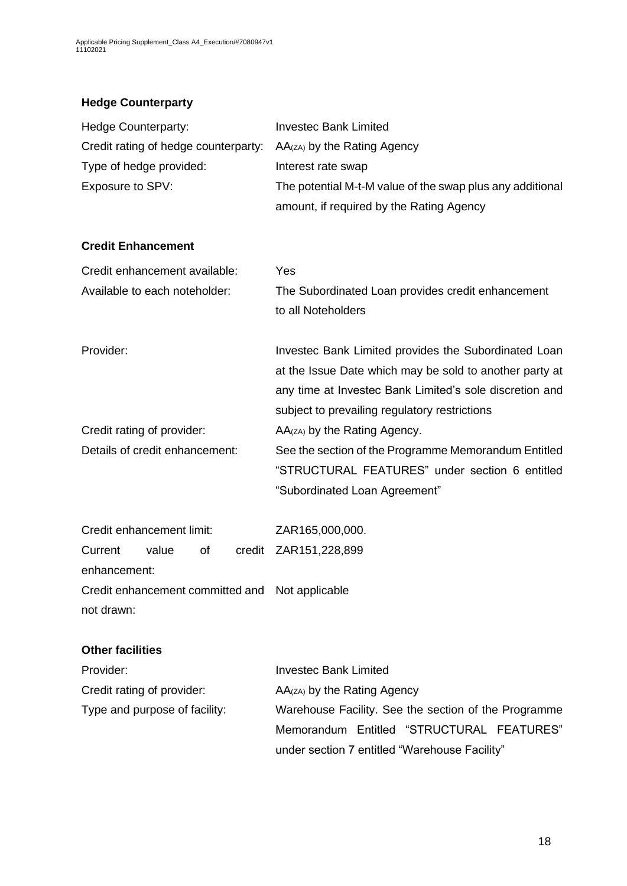# **Hedge Counterparty**

| <b>Hedge Counterparty:</b>                      | <b>Investec Bank Limited</b>                                                                                                                                                                                                |  |  |
|-------------------------------------------------|-----------------------------------------------------------------------------------------------------------------------------------------------------------------------------------------------------------------------------|--|--|
| Credit rating of hedge counterparty:            | AA(zA) by the Rating Agency                                                                                                                                                                                                 |  |  |
| Type of hedge provided:                         | Interest rate swap                                                                                                                                                                                                          |  |  |
| Exposure to SPV:                                | The potential M-t-M value of the swap plus any additional                                                                                                                                                                   |  |  |
|                                                 | amount, if required by the Rating Agency                                                                                                                                                                                    |  |  |
| <b>Credit Enhancement</b>                       |                                                                                                                                                                                                                             |  |  |
| Credit enhancement available:                   | Yes                                                                                                                                                                                                                         |  |  |
| Available to each noteholder:                   | The Subordinated Loan provides credit enhancement<br>to all Noteholders                                                                                                                                                     |  |  |
| Provider:                                       | Investec Bank Limited provides the Subordinated Loan<br>at the Issue Date which may be sold to another party at<br>any time at Investec Bank Limited's sole discretion and<br>subject to prevailing regulatory restrictions |  |  |
| Credit rating of provider:                      | AA(zA) by the Rating Agency.                                                                                                                                                                                                |  |  |
| Details of credit enhancement:                  | See the section of the Programme Memorandum Entitled<br>"STRUCTURAL FEATURES" under section 6 entitled                                                                                                                      |  |  |
|                                                 | "Subordinated Loan Agreement"                                                                                                                                                                                               |  |  |
| Credit enhancement limit:                       | ZAR165,000,000.                                                                                                                                                                                                             |  |  |
| value<br>of<br>Current<br>enhancement:          | credit ZAR151,228,899                                                                                                                                                                                                       |  |  |
| Credit enhancement committed and Not applicable |                                                                                                                                                                                                                             |  |  |
| not drawn:                                      |                                                                                                                                                                                                                             |  |  |
| <b>Other facilities</b>                         |                                                                                                                                                                                                                             |  |  |
| Provider:                                       | <b>Investec Bank Limited</b>                                                                                                                                                                                                |  |  |
| Credit rating of provider:                      | AA(zA) by the Rating Agency                                                                                                                                                                                                 |  |  |
| Type and purpose of facility:                   | Warehouse Facility. See the section of the Programme                                                                                                                                                                        |  |  |
|                                                 | Memorandum Entitled "STRUCTURAL FEATURES"                                                                                                                                                                                   |  |  |
|                                                 | under section 7 entitled "Warehouse Facility"                                                                                                                                                                               |  |  |